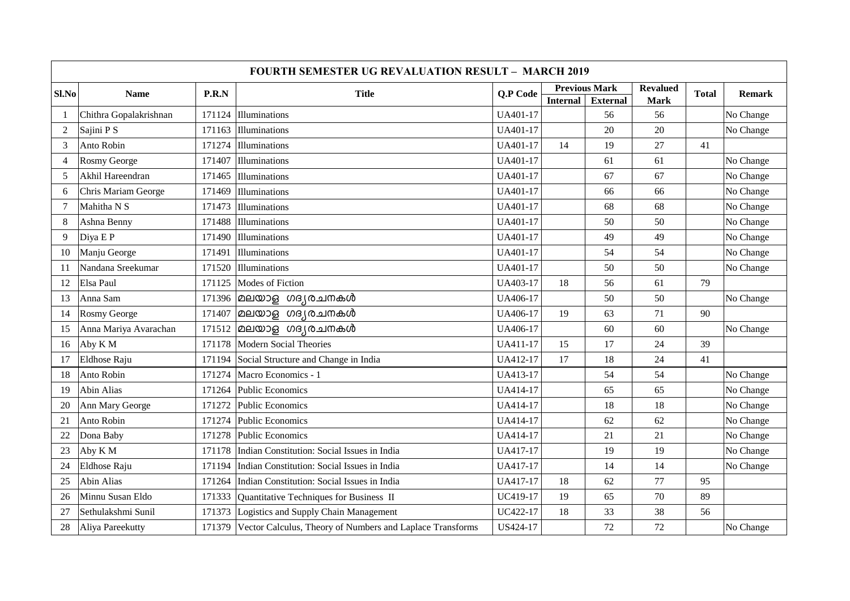| Sl.No          | <b>Name</b>            | P.R.N  | <b>Title</b>                                              | Q.P Code | <b>Previous Mark</b> |                 | <b>Revalued</b> | <b>Total</b> |           |
|----------------|------------------------|--------|-----------------------------------------------------------|----------|----------------------|-----------------|-----------------|--------------|-----------|
|                |                        |        |                                                           |          | <b>Internal</b>      | <b>External</b> | Mark            |              | Remark    |
| $\overline{1}$ | Chithra Gopalakrishnan | 171124 | Illuminations                                             | UA401-17 |                      | 56              | 56              |              | No Change |
| $\overline{2}$ | Sajini P S             | 171163 | Illuminations                                             | UA401-17 |                      | 20              | 20              |              | No Change |
| 3              | Anto Robin             | 171274 | Illuminations                                             | UA401-17 | 14                   | 19              | 27              | 41           |           |
| $\overline{4}$ | Rosmy George           | 171407 | Illuminations                                             | UA401-17 |                      | 61              | 61              |              | No Change |
| 5              | Akhil Hareendran       | 171465 | Illuminations                                             | UA401-17 |                      | 67              | 67              |              | No Change |
| 6              | Chris Mariam George    | 171469 | Illuminations                                             | UA401-17 |                      | 66              | 66              |              | No Change |
| $\overline{7}$ | Mahitha N S            | 171473 | Illuminations                                             | UA401-17 |                      | 68              | 68              |              | No Change |
| 8              | Ashna Benny            | 171488 | Illuminations                                             | UA401-17 |                      | 50              | 50              |              | No Change |
| 9              | Diya E P               | 171490 | Illuminations                                             | UA401-17 |                      | 49              | 49              |              | No Change |
| 10             | Manju George           | 171491 | Illuminations                                             | UA401-17 |                      | 54              | 54              |              | No Change |
| 11             | Nandana Sreekumar      | 171520 | Illuminations                                             | UA401-17 |                      | 50              | 50              |              | No Change |
| 12             | Elsa Paul              | 171125 | Modes of Fiction                                          | UA403-17 | 18                   | 56              | 61              | 79           |           |
| 13             | Anna Sam               |        | $171396$ മലയാള ഗദ്യരചനകൾ                                  | UA406-17 |                      | 50              | 50              |              | No Change |
| 14             | Rosmy George           | 171407 | മലയാള ഗദ്യരചനകൾ                                           | UA406-17 | 19                   | 63              | 71              | 90           |           |
| 15             | Anna Mariya Avarachan  | 171512 | മലയാള ഗദ്യരചനകൾ                                           | UA406-17 |                      | 60              | 60              |              | No Change |
| 16             | Aby K M                | 171178 | Modern Social Theories                                    | UA411-17 | 15                   | 17              | 24              | 39           |           |
| 17             | Eldhose Raju           | 171194 | Social Structure and Change in India                      | UA412-17 | 17                   | 18              | 24              | 41           |           |
| 18             | Anto Robin             | 171274 | Macro Economics - 1                                       | UA413-17 |                      | 54              | 54              |              | No Change |
| 19             | <b>Abin Alias</b>      | 171264 | <b>Public Economics</b>                                   | UA414-17 |                      | 65              | 65              |              | No Change |
| 20             | Ann Mary George        | 171272 | Public Economics                                          | UA414-17 |                      | 18              | 18              |              | No Change |
| 21             | Anto Robin             | 171274 | Public Economics                                          | UA414-17 |                      | 62              | 62              |              | No Change |
| 22             | Dona Baby              | 171278 | Public Economics                                          | UA414-17 |                      | 21              | 21              |              | No Change |
| 23             | Aby K M                | 171178 | Indian Constitution: Social Issues in India               | UA417-17 |                      | 19              | 19              |              | No Change |
| 24             | Eldhose Raju           | 171194 | Indian Constitution: Social Issues in India               | UA417-17 |                      | 14              | 14              |              | No Change |
| 25             | <b>Abin Alias</b>      | 171264 | Indian Constitution: Social Issues in India               | UA417-17 | 18                   | 62              | 77              | 95           |           |
| 26             | Minnu Susan Eldo       | 171333 | Quantitative Techniques for Business II                   | UC419-17 | 19                   | 65              | 70              | 89           |           |
| 27             | Sethulakshmi Sunil     | 171373 | Logistics and Supply Chain Management                     | UC422-17 | 18                   | 33              | 38              | 56           |           |
| 28             | Aliya Pareekutty       | 171379 | Vector Calculus, Theory of Numbers and Laplace Transforms | US424-17 |                      | 72              | 72              |              | No Change |